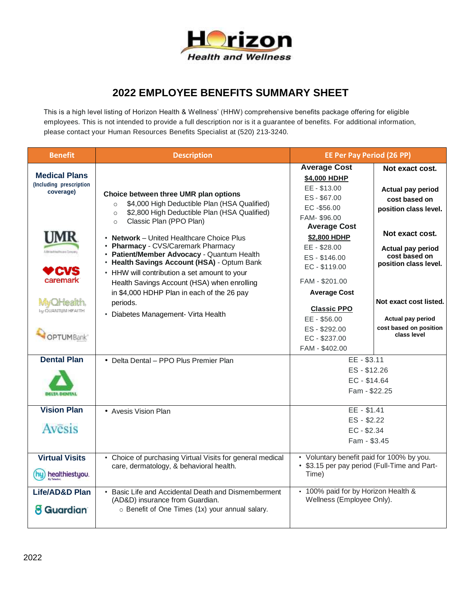

## **2022 EMPLOYEE BENEFITS SUMMARY SHEET**

This is a high level listing of Horizon Health & Wellness' (HHW) comprehensive benefits package offering for eligible employees. This is not intended to provide a full description nor is it a guarantee of benefits. For additional information, please contact your Human Resources Benefits Specialist at (520) 213-3240.

| <b>Benefit</b>                                                        | <b>Description</b>                                                                                                                                                                                                                                                                                                                                                           | <b>EE Per Pay Period (26 PP)</b>                                                                                                                                                                                 |                                                                                                                                                                        |
|-----------------------------------------------------------------------|------------------------------------------------------------------------------------------------------------------------------------------------------------------------------------------------------------------------------------------------------------------------------------------------------------------------------------------------------------------------------|------------------------------------------------------------------------------------------------------------------------------------------------------------------------------------------------------------------|------------------------------------------------------------------------------------------------------------------------------------------------------------------------|
| <b>Medical Plans</b><br>(Including prescription<br>coverage)          | Choice between three UMR plan options<br>\$4,000 High Deductible Plan (HSA Qualified)<br>$\circ$<br>\$2,800 High Deductible Plan (HSA Qualified)<br>$\circ$<br>Classic Plan (PPO Plan)<br>$\circ$                                                                                                                                                                            | <b>Average Cost</b><br>\$4,000 HDHP<br>EE-\$13.00<br>ES-\$67.00<br>$EC - $56.00$<br>FAM-\$96.00                                                                                                                  | Not exact cost.<br>Actual pay period<br>cost based on<br>position class level.                                                                                         |
| UMR<br>caremark<br>MVOHealth<br>by OUANTUM HEALTH<br><b>OPTUMBank</b> | • Network - United Healthcare Choice Plus<br>• Pharmacy - CVS/Caremark Pharmacy<br>• Patient/Member Advocacy - Quantum Health<br>• Health Savings Account (HSA) - Optum Bank<br>• HHW will contribution a set amount to your<br>Health Savings Account (HSA) when enrolling<br>in \$4,000 HDHP Plan in each of the 26 pay<br>periods.<br>• Diabetes Management- Virta Health | <b>Average Cost</b><br>\$2,800 HDHP<br>EE - \$28.00<br>ES-\$146.00<br>EC-\$119.00<br>FAM - \$201.00<br><b>Average Cost</b><br><b>Classic PPO</b><br>EE - \$56.00<br>ES-\$292.00<br>EC-\$237.00<br>FAM - \$402.00 | Not exact cost.<br>Actual pay period<br>cost based on<br>position class level.<br>Not exact cost listed.<br>Actual pay period<br>cost based on position<br>class level |
| <b>Dental Plan</b><br><b>DELTA DENTAL</b>                             | • Delta Dental - PPO Plus Premier Plan                                                                                                                                                                                                                                                                                                                                       | $EE - $3.11$<br>ES-\$12.26<br>EC-\$14.64<br>Fam - \$22.25                                                                                                                                                        |                                                                                                                                                                        |
| <b>Vision Plan</b><br>Avesis                                          | • Avesis Vision Plan                                                                                                                                                                                                                                                                                                                                                         | EE - \$1.41<br>ES - \$2.22<br>$EC - $2.34$<br>Fam - \$3.45                                                                                                                                                       |                                                                                                                                                                        |
| <b>Virtual Visits</b><br>healthiestyou.                               | • Choice of purchasing Virtual Visits for general medical<br>care, dermatology, & behavioral health.                                                                                                                                                                                                                                                                         | • Voluntary benefit paid for 100% by you.<br>• \$3.15 per pay period (Full-Time and Part-<br>Time)                                                                                                               |                                                                                                                                                                        |
| Life/AD&D Plan<br>8 Guardian                                          | • Basic Life and Accidental Death and Dismemberment<br>(AD&D) insurance from Guardian.<br>o Benefit of One Times (1x) your annual salary.                                                                                                                                                                                                                                    | · 100% paid for by Horizon Health &<br>Wellness (Employee Only).                                                                                                                                                 |                                                                                                                                                                        |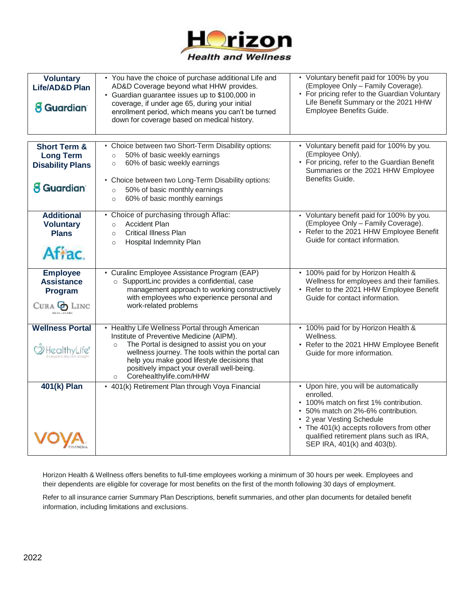

| <b>Voluntary</b><br>Life/AD&D Plan<br><b>8 Guardian</b>                                     | • You have the choice of purchase additional Life and<br>AD&D Coverage beyond what HHW provides.<br>• Guardian guarantee issues up to \$100,000 in<br>coverage, if under age 65, during your initial<br>enrollment period, which means you can't be turned<br>down for coverage based on medical history.                                      | • Voluntary benefit paid for 100% by you<br>(Employee Only - Family Coverage).<br>• For pricing refer to the Guardian Voluntary<br>Life Benefit Summary or the 2021 HHW<br>Employee Benefits Guide.                                                                                     |
|---------------------------------------------------------------------------------------------|------------------------------------------------------------------------------------------------------------------------------------------------------------------------------------------------------------------------------------------------------------------------------------------------------------------------------------------------|-----------------------------------------------------------------------------------------------------------------------------------------------------------------------------------------------------------------------------------------------------------------------------------------|
| <b>Short Term &amp;</b><br><b>Long Term</b><br><b>Disability Plans</b><br><b>8 Guardian</b> | • Choice between two Short-Term Disability options:<br>50% of basic weekly earnings<br>$\circ$<br>60% of basic weekly earnings<br>$\circ$<br>• Choice between two Long-Term Disability options:<br>50% of basic monthly earnings<br>$\circ$<br>60% of basic monthly earnings<br>$\circ$                                                        | • Voluntary benefit paid for 100% by you.<br>(Employee Only).<br>• For pricing, refer to the Guardian Benefit<br>Summaries or the 2021 HHW Employee<br>Benefits Guide.                                                                                                                  |
| <b>Additional</b><br><b>Voluntary</b><br><b>Plans</b><br>Affac.                             | • Choice of purchasing through Aflac:<br><b>Accident Plan</b><br>$\circ$<br><b>Critical Illness Plan</b><br>$\circ$<br>Hospital Indemnity Plan<br>$\circ$                                                                                                                                                                                      | • Voluntary benefit paid for 100% by you.<br>(Employee Only - Family Coverage).<br>• Refer to the 2021 HHW Employee Benefit<br>Guide for contact information.                                                                                                                           |
| <b>Employee</b><br><b>Assistance</b><br>Program<br>Cura <b>G</b> Linc<br><b>HEALTHCARE</b>  | • Curalinc Employee Assistance Program (EAP)<br>o SupportLinc provides a confidential, case<br>management approach to working constructively<br>with employees who experience personal and<br>work-related problems                                                                                                                            | • 100% paid for by Horizon Health &<br>Wellness for employees and their families.<br>• Refer to the 2021 HHW Employee Benefit<br>Guide for contact information.                                                                                                                         |
| <b>Wellness Portal</b><br>HealthyLife*                                                      | • Healthy Life Wellness Portal through American<br>Institute of Preventive Medicine (AIPM).<br>The Portal is designed to assist you on your<br>$\circ$<br>wellness journey. The tools within the portal can<br>help you make good lifestyle decisions that<br>positively impact your overall well-being.<br>Corehealthylife.com/HHW<br>$\circ$ | • 100% paid for by Horizon Health &<br>Wellness.<br>• Refer to the 2021 HHW Employee Benefit<br>Guide for more information.                                                                                                                                                             |
| 401(k) Plan                                                                                 | • 401(k) Retirement Plan through Voya Financial                                                                                                                                                                                                                                                                                                | • Upon hire, you will be automatically<br>enrolled.<br>• 100% match on first 1% contribution.<br>• 50% match on 2%-6% contribution.<br>• 2 year Vesting Schedule<br>• The 401(k) accepts rollovers from other<br>qualified retirement plans such as IRA,<br>SEP IRA, 401(k) and 403(b). |

Horizon Health & Wellness offers benefits to full-time employees working a minimum of 30 hours per week. Employees and their dependents are eligible for coverage for most benefits on the first of the month following 30 days of employment.

Refer to all insurance carrier Summary Plan Descriptions, benefit summaries, and other plan documents for detailed benefit information, including limitations and exclusions.